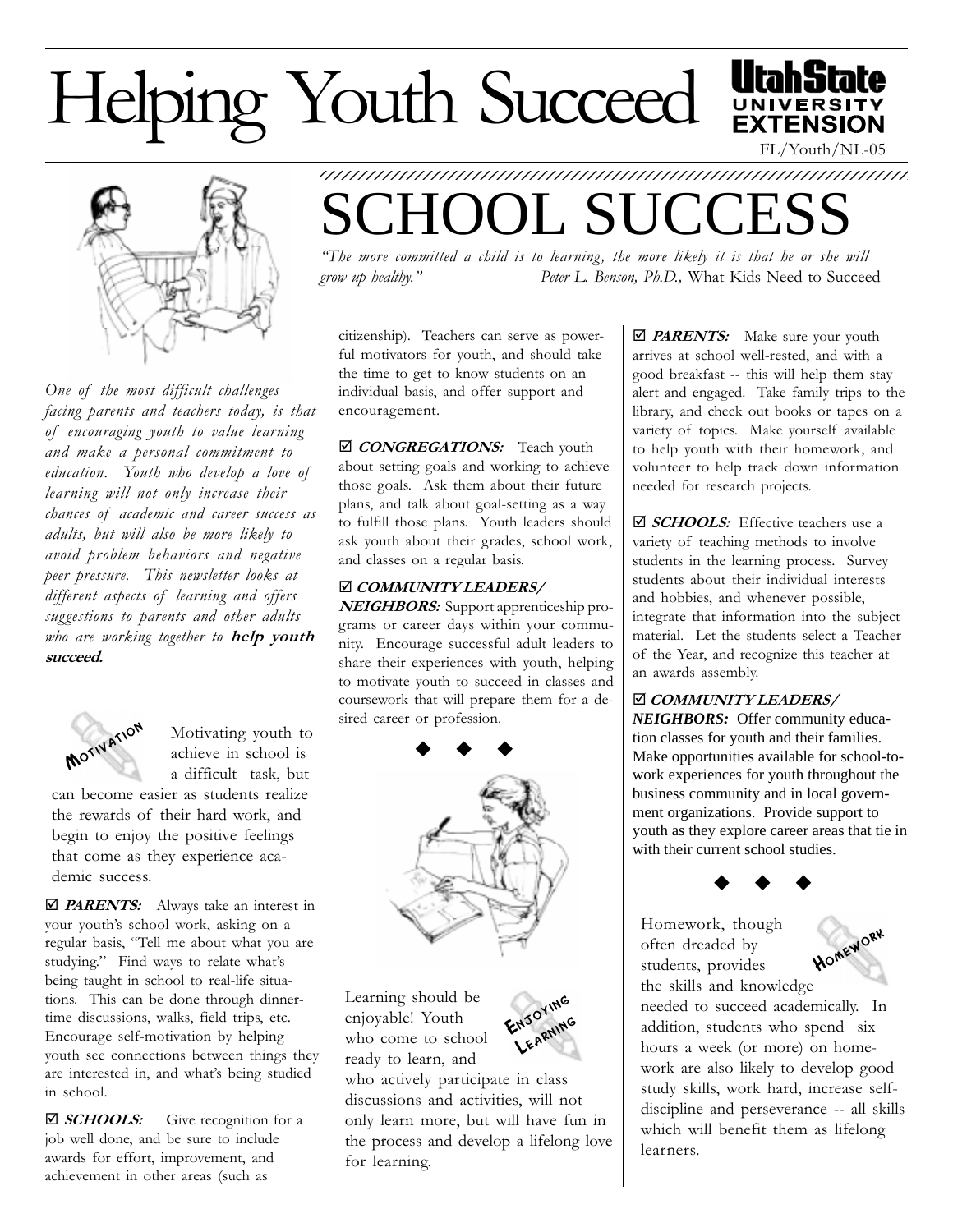## Helping Youth Succeed



One of the most difficult challenges facing parents and teachers today, is that of encouraging youth to value learning and make a personal commitment to education. Youth who develop a love of learning will not only increase their chances of academic and career success as adults, but will also be more likely to avoid problem behaviors and negative peer pressure. This newsletter looks at different aspects of learning and offers suggestions to parents and other adults who are working together to help youth succeed.



Motivating youth to achieve in school is a difficult task, but

can become easier as students realize the rewards of their hard work, and begin to enjoy the positive feelings that come as they experience academic success.

 $\Box$  **PARENTS:** Always take an interest in your youth's school work, asking on a regular basis, "Tell me about what you are studying." Find ways to relate what's being taught in school to real-life situations. This can be done through dinnertime discussions, walks, field trips, etc. Encourage self-motivation by helping youth see connections between things they are interested in, and what's being studied in school.

 $\Box$  **SCHOOLS:** Give recognition for a job well done, and be sure to include awards for effort, improvement, and achievement in other areas (such as

## 1234567890123456789012345678901212345678901234567890123456789012123456789 OL SUCCE

The more committed a child is to learning, the more likely it is that he or she will grow up healthy." Peter L. Benson, Ph.D., What Kids Need to Succeed

citizenship). Teachers can serve as powerful motivators for youth, and should take the time to get to know students on an individual basis, and offer support and encouragement.

⊠ CONGREGATIONS: Teach youth about setting goals and working to achieve those goals. Ask them about their future plans, and talk about goal-setting as a way to fulfill those plans. Youth leaders should ask youth about their grades, school work, and classes on a regular basis.

## þ COMMUNITY LEADERS/

NEIGHBORS: Support apprenticeship programs or career days within your community. Encourage successful adult leaders to share their experiences with youth, helping to motivate youth to succeed in classes and coursework that will prepare them for a desired career or profession.



Learning should be enjoyable! Youth who come to school ready to learn, and



who actively participate in class discussions and activities, will not only learn more, but will have fun in the process and develop a lifelong love for learning.

 $\Box$  **PARENTS:** Make sure your youth arrives at school well-rested, and with a good breakfast -- this will help them stay alert and engaged. Take family trips to the library, and check out books or tapes on a variety of topics. Make yourself available to help youth with their homework, and volunteer to help track down information needed for research projects.

FL/Youth/NL-05

**EXTENSION** 

 $\Box$  **SCHOOLS:** Effective teachers use a variety of teaching methods to involve students in the learning process. Survey students about their individual interests and hobbies, and whenever possible, integrate that information into the subject material. Let the students select a Teacher of the Year, and recognize this teacher at an awards assembly.

þ COMMUNITY LEADERS/ *NEIGHBORS:* Offer community education classes for youth and their families. Make opportunities available for school-towork experiences for youth throughout the business community and in local government organizations. Provide support to youth as they explore career areas that tie in with their current school studies.

 $\bullet$   $\bullet$   $\bullet$ 

Homework, though often dreaded by students, provides the skills and knowledge



needed to succeed academically. In addition, students who spend six hours a week (or more) on homework are also likely to develop good study skills, work hard, increase selfdiscipline and perseverance -- all skills which will benefit them as lifelong learners.